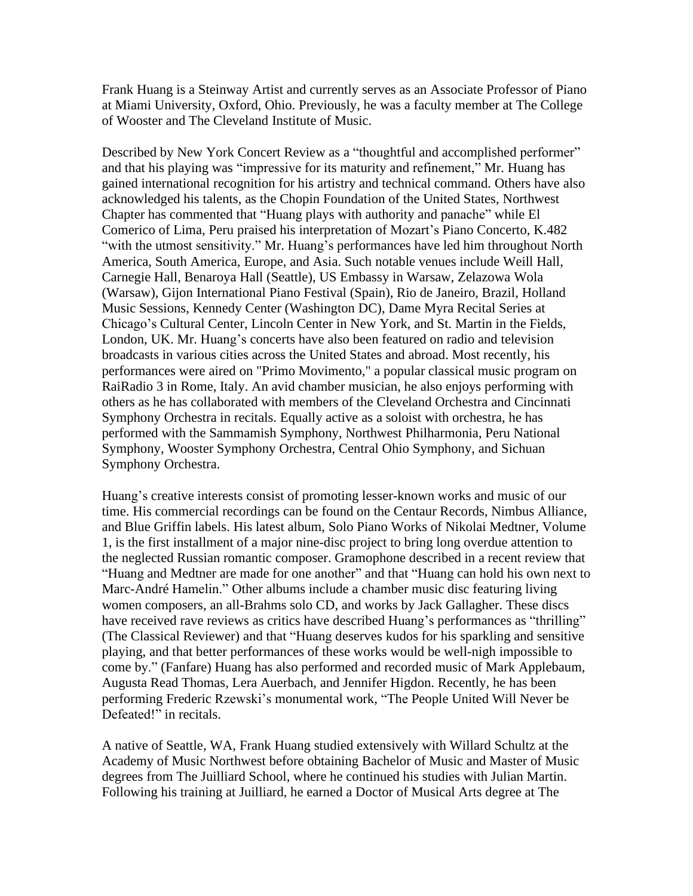Frank Huang is a Steinway Artist and currently serves as an Associate Professor of Piano at Miami University, Oxford, Ohio. Previously, he was a faculty member at The College of Wooster and The Cleveland Institute of Music.

Described by New York Concert Review as a "thoughtful and accomplished performer" and that his playing was "impressive for its maturity and refinement," Mr. Huang has gained international recognition for his artistry and technical command. Others have also acknowledged his talents, as the Chopin Foundation of the United States, Northwest Chapter has commented that "Huang plays with authority and panache" while El Comerico of Lima, Peru praised his interpretation of Mozart's Piano Concerto, K.482 "with the utmost sensitivity." Mr. Huang's performances have led him throughout North America, South America, Europe, and Asia. Such notable venues include Weill Hall, Carnegie Hall, Benaroya Hall (Seattle), US Embassy in Warsaw, Zelazowa Wola (Warsaw), Gijon International Piano Festival (Spain), Rio de Janeiro, Brazil, Holland Music Sessions, Kennedy Center (Washington DC), Dame Myra Recital Series at Chicago's Cultural Center, Lincoln Center in New York, and St. Martin in the Fields, London, UK. Mr. Huang's concerts have also been featured on radio and television broadcasts in various cities across the United States and abroad. Most recently, his performances were aired on "Primo Movimento," a popular classical music program on RaiRadio 3 in Rome, Italy. An avid chamber musician, he also enjoys performing with others as he has collaborated with members of the Cleveland Orchestra and Cincinnati Symphony Orchestra in recitals. Equally active as a soloist with orchestra, he has performed with the Sammamish Symphony, Northwest Philharmonia, Peru National Symphony, Wooster Symphony Orchestra, Central Ohio Symphony, and Sichuan Symphony Orchestra.

Huang's creative interests consist of promoting lesser-known works and music of our time. His commercial recordings can be found on the Centaur Records, Nimbus Alliance, and Blue Griffin labels. His latest album, Solo Piano Works of Nikolai Medtner, Volume 1, is the first installment of a major nine-disc project to bring long overdue attention to the neglected Russian romantic composer. Gramophone described in a recent review that "Huang and Medtner are made for one another" and that "Huang can hold his own next to Marc-André Hamelin." Other albums include a chamber music disc featuring living women composers, an all-Brahms solo CD, and works by Jack Gallagher. These discs have received rave reviews as critics have described Huang's performances as "thrilling" (The Classical Reviewer) and that "Huang deserves kudos for his sparkling and sensitive playing, and that better performances of these works would be well-nigh impossible to come by." (Fanfare) Huang has also performed and recorded music of Mark Applebaum, Augusta Read Thomas, Lera Auerbach, and Jennifer Higdon. Recently, he has been performing Frederic Rzewski's monumental work, "The People United Will Never be Defeated!" in recitals.

A native of Seattle, WA, Frank Huang studied extensively with Willard Schultz at the Academy of Music Northwest before obtaining Bachelor of Music and Master of Music degrees from The Juilliard School, where he continued his studies with Julian Martin. Following his training at Juilliard, he earned a Doctor of Musical Arts degree at The